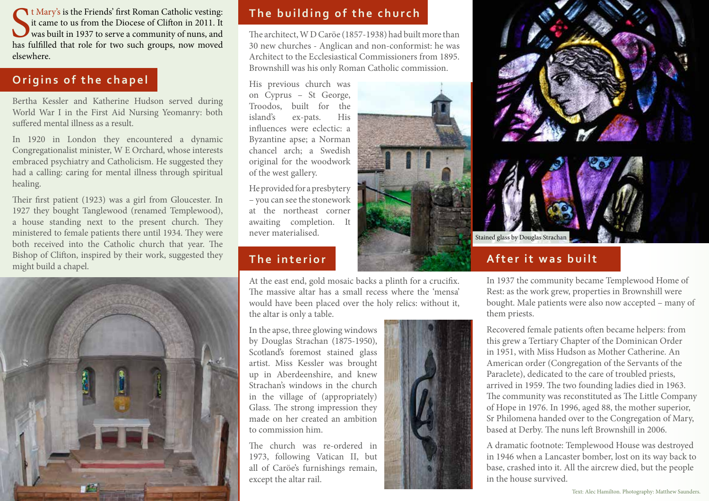It Mary's is the Friends' first Roman Catholic vesting:<br>it came to us from the Diocese of Clifton in 2011. It<br>was built in 1937 to serve a community of nuns, and<br>has fulfilled that role for two such groups, now moved t Mary's is the Friends' first Roman Catholic vesting: it came to us from the Diocese of Clifton in 2011. It was built in 1937 to serve a community of nuns, and elsewhere.

## **Origins of the chapel**

Bertha Kessler and Katherine Hudson served during World War I in the First Aid Nursing Yeomanry: both suffered mental illness as a result.

In 1920 in London they encountered a dynamic Congregationalist minister, W E Orchard, whose interests embraced psychiatry and Catholicism. He suggested they had a calling: caring for mental illness through spiritual healing.

Their first patient (1923) was a girl from Gloucester. In 1927 they bought Tanglewood (renamed Templewood), a house standing next to the present church. They ministered to female patients there until 1934. They were both received into the Catholic church that year. The Bishop of Clifton, inspired by their work, suggested they might build a chapel.



## **The building of the church**

The architect, W D Caröe (1857-1938) had built more than 30 new churches - Anglican and non-conformist: he was Architect to the Ecclesiastical Commissioners from 1895. Brownshill was his only Roman Catholic commission.

His previous church was on Cyprus – St George, Troodos, built for the island's ex-pats. His influences were eclectic: a Byzantine apse; a Norman chancel arch; a Swedish original for the woodwork of the west gallery.

He provided for a presbytery – you can see the stonework at the northeast corner awaiting completion. It never materialised.

# **The interior**

At the east end, gold mosaic backs a plinth for a crucifix. The massive altar has a small recess where the 'mensa' would have been placed over the holy relics: without it, the altar is only a table.

In the apse, three glowing windows by Douglas Strachan (1875-1950), Scotland's foremost stained glass artist. Miss Kessler was brought up in Aberdeenshire, and knew Strachan's windows in the church in the village of (appropriately) Glass. The strong impression they made on her created an ambition to commission him.

The church was re-ordered in 1973, following Vatican II, but all of Caröe's furnishings remain, except the altar rail.





## **After it was built**

In 1937 the community became Templewood Home of Rest: as the work grew, properties in Brownshill were bought. Male patients were also now accepted – many of them priests.

Recovered female patients often became helpers: from this grew a Tertiary Chapter of the Dominican Order in 1951, with Miss Hudson as Mother Catherine. An American order (Congregation of the Servants of the Paraclete), dedicated to the care of troubled priests, arrived in 1959. The two founding ladies died in 1963. The community was reconstituted as The Little Company of Hope in 1976. In 1996, aged 88, the mother superior, Sr Philomena handed over to the Congregation of Mary, based at Derby. The nuns left Brownshill in 2006.

A dramatic footnote: Templewood House was destroyed in 1946 when a Lancaster bomber, lost on its way back to base, crashed into it. All the aircrew died, but the people in the house survived.